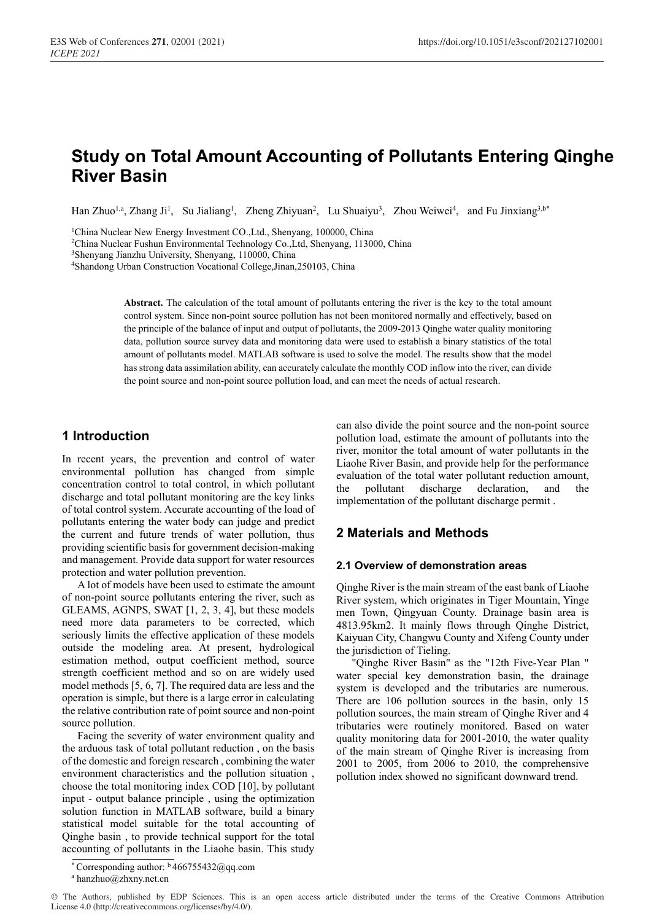# **Study on Total Amount Accounting of Pollutants Entering Qinghe River Basin**

Han Zhuo<sup>1,a</sup>, Zhang Ji<sup>1</sup>, Su Jialiang<sup>1</sup>, Zheng Zhiyuan<sup>2</sup>, Lu Shuaiyu<sup>3</sup>, Zhou Weiwei<sup>4</sup>, and Fu Jinxiang<sup>3,b\*</sup>

1China Nuclear New Energy Investment CO.,Ltd., Shenyang, 100000, China 2China Nuclear Fushun Environmental Technology Co.,Ltd, Shenyang, 113000, China

3Shenyang Jianzhu University, Shenyang, 110000, China

4Shandong Urban Construction Vocational College,Jinan,250103, China

**Abstract.** The calculation of the total amount of pollutants entering the river is the key to the total amount control system. Since non-point source pollution has not been monitored normally and effectively, based on the principle of the balance of input and output of pollutants, the 2009-2013 Qinghe water quality monitoring data, pollution source survey data and monitoring data were used to establish a binary statistics of the total amount of pollutants model. MATLAB software is used to solve the model. The results show that the model has strong data assimilation ability, can accurately calculate the monthly COD inflow into the river, can divide the point source and non-point source pollution load, and can meet the needs of actual research.

# **1 Introduction**

In recent years, the prevention and control of water environmental pollution has changed from simple concentration control to total control, in which pollutant discharge and total pollutant monitoring are the key links of total control system. Accurate accounting of the load of pollutants entering the water body can judge and predict the current and future trends of water pollution, thus providing scientific basis for government decision-making and management. Provide data support for water resources protection and water pollution prevention.

A lot of models have been used to estimate the amount of non-point source pollutants entering the river, such as GLEAMS, AGNPS, SWAT [1, 2, 3, 4], but these models need more data parameters to be corrected, which seriously limits the effective application of these models outside the modeling area. At present, hydrological estimation method, output coefficient method, source strength coefficient method and so on are widely used model methods [5, 6, 7]. The required data are less and the operation is simple, but there is a large error in calculating the relative contribution rate of point source and non-point source pollution.

Facing the severity of water environment quality and the arduous task of total pollutant reduction , on the basis of the domestic and foreign research , combining the water environment characteristics and the pollution situation , choose the total monitoring index COD [10], by pollutant input - output balance principle , using the optimization solution function in MATLAB software, build a binary statistical model suitable for the total accounting of Qinghe basin , to provide technical support for the total accounting of pollutants in the Liaohe basin. This study

can also divide the point source and the non-point source pollution load, estimate the amount of pollutants into the river, monitor the total amount of water pollutants in the Liaohe River Basin, and provide help for the performance evaluation of the total water pollutant reduction amount, the pollutant discharge declaration, and the implementation of the pollutant discharge permit .

# **2 Materials and Methods**

#### **2.1 Overview of demonstration areas**

Qinghe River is the main stream of the east bank of Liaohe River system, which originates in Tiger Mountain, Yinge men Town, Qingyuan County. Drainage basin area is 4813.95km2. It mainly flows through Qinghe District, Kaiyuan City, Changwu County and Xifeng County under the jurisdiction of Tieling.

"Qinghe River Basin" as the "12th Five-Year Plan " water special key demonstration basin, the drainage system is developed and the tributaries are numerous. There are 106 pollution sources in the basin, only 15 pollution sources, the main stream of Qinghe River and 4 tributaries were routinely monitored. Based on water quality monitoring data for 2001-2010, the water quality of the main stream of Qinghe River is increasing from 2001 to 2005, from 2006 to 2010, the comprehensive pollution index showed no significant downward trend.

hanzhuo@zhxny.net.cn

<sup>\*</sup> Corresponding author:  $\frac{b}{466755432}$ @qq.com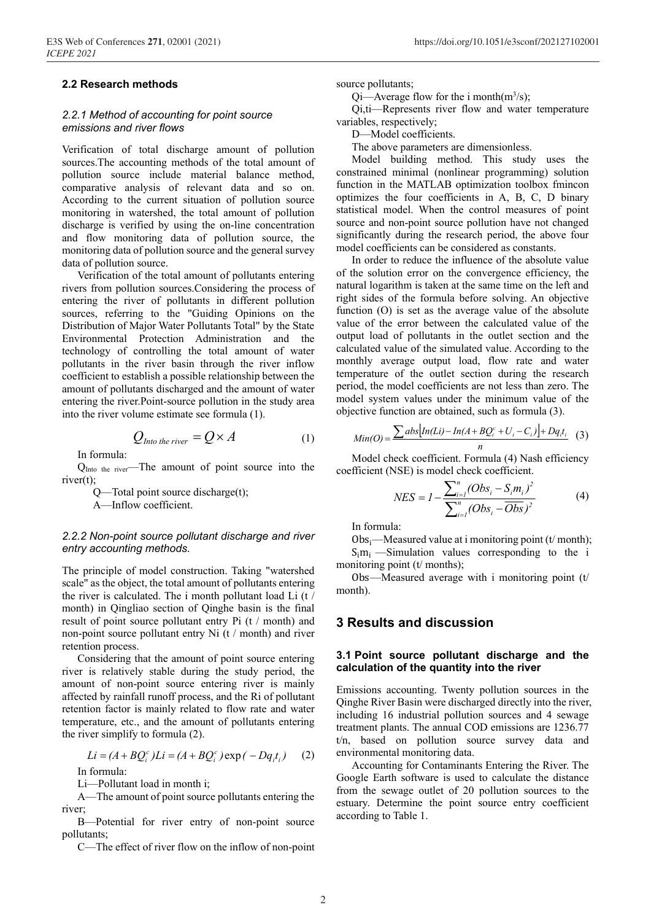#### **2.2 Research methods**

#### *2.2.1 Method of accounting for point source emissions and river flows*

Verification of total discharge amount of pollution sources.The accounting methods of the total amount of pollution source include material balance method, comparative analysis of relevant data and so on. According to the current situation of pollution source monitoring in watershed, the total amount of pollution discharge is verified by using the on-line concentration and flow monitoring data of pollution source, the monitoring data of pollution source and the general survey data of pollution source.

Verification of the total amount of pollutants entering rivers from pollution sources.Considering the process of entering the river of pollutants in different pollution sources, referring to the "Guiding Opinions on the Distribution of Major Water Pollutants Total" by the State Environmental Protection Administration and the technology of controlling the total amount of water pollutants in the river basin through the river inflow coefficient to establish a possible relationship between the amount of pollutants discharged and the amount of water entering the river.Point-source pollution in the study area into the river volume estimate see formula (1).

$$
Q_{\text{Into the river}} = Q \times A \tag{1}
$$

In formula:

Q<sub>Into the river</sub>—The amount of point source into the river(t);

Q—Total point source discharge(t);

A—Inflow coefficient.

#### *2.2.2 Non-point source pollutant discharge and river entry accounting methods.*

The principle of model construction. Taking "watershed scale" as the object, the total amount of pollutants entering the river is calculated. The i month pollutant load Li (t / month) in Qingliao section of Qinghe basin is the final result of point source pollutant entry Pi (t / month) and non-point source pollutant entry Ni (t / month) and river retention process.

Considering that the amount of point source entering river is relatively stable during the study period, the amount of non-point source entering river is mainly affected by rainfall runoff process, and the Ri of pollutant retention factor is mainly related to flow rate and water temperature, etc., and the amount of pollutants entering the river simplify to formula (2).

$$
Li = (A + BQ_i^c)Li = (A + BQ_i^c) \exp(-Dq_i t_i)
$$
 (2)

In formula:

Li—Pollutant load in month i;

A—The amount of point source pollutants entering the river;

B—Potential for river entry of non-point source pollutants;

C—The effect of river flow on the inflow of non-point

source pollutants;

Qi—Average flow for the i month $(m^3/s)$ ;

Qi,ti—Represents river flow and water temperature variables, respectively;

D—Model coefficients.

The above parameters are dimensionless.

Model building method. This study uses the constrained minimal (nonlinear programming) solution function in the MATLAB optimization toolbox fmincon optimizes the four coefficients in A, B, C, D binary statistical model. When the control measures of point source and non-point source pollution have not changed significantly during the research period, the above four model coefficients can be considered as constants.

In order to reduce the influence of the absolute value of the solution error on the convergence efficiency, the natural logarithm is taken at the same time on the left and right sides of the formula before solving. An objective function (O) is set as the average value of the absolute value of the error between the calculated value of the output load of pollutants in the outlet section and the calculated value of the simulated value. According to the monthly average output load, flow rate and water temperature of the outlet section during the research period, the model coefficients are not less than zero. The model system values under the minimum value of the objective function are obtained, such as formula (3).

$$
Min(O) = \frac{\sum abs[n(Li) - In(A + BQ_i^c + U_i - C_i)] + Dq_i t_i}{n}
$$
 (3)

Model check coefficient. Formula (4) Nash efficiency coefficient (NSE) is model check coefficient.

$$
NES = I - \frac{\sum_{i=1}^{n} (Obs_i - S_i m_i)^2}{\sum_{i=1}^{n} (Obs_i - \overline{Obs})^2}
$$
(4)

In formula:

Obs $\rightarrow$ —Measured value at i monitoring point (t/month);  $S_i m_i$  —Simulation values corresponding to the i monitoring point (t/ months);

Obs—Measured average with i monitoring point  $(t)$ month).

## **3 Results and discussion**

#### **3.1 Point source pollutant discharge and the calculation of the quantity into the river**

Emissions accounting. Twenty pollution sources in the Qinghe River Basin were discharged directly into the river, including 16 industrial pollution sources and 4 sewage treatment plants. The annual COD emissions are 1236.77 t/n, based on pollution source survey data and environmental monitoring data.

Accounting for Contaminants Entering the River. The Google Earth software is used to calculate the distance from the sewage outlet of 20 pollution sources to the estuary. Determine the point source entry coefficient according to Table 1.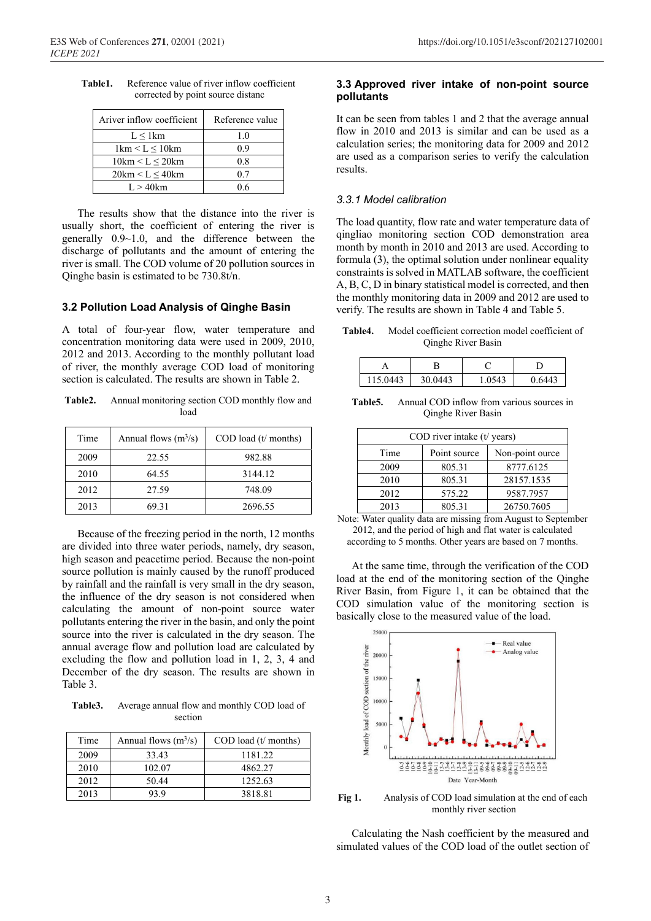| Table1. | Reference value of river inflow coefficient |
|---------|---------------------------------------------|
|         | corrected by point source distance          |

| Ariver inflow coefficient               | Reference value |
|-----------------------------------------|-----------------|
| $L \leq 1$ km                           | 1.0             |
| $1 \text{km} \leq L \leq 10 \text{km}$  | 0.9             |
| $10km \leq L \leq 20km$                 | 0.8             |
| $20 \text{km} \leq L \leq 40 \text{km}$ | 0.7             |
| $L > 40$ km                             | ገ 6             |

The results show that the distance into the river is usually short, the coefficient of entering the river is generally 0.9~1.0, and the difference between the discharge of pollutants and the amount of entering the river is small. The COD volume of 20 pollution sources in Qinghe basin is estimated to be 730.8t/n.

#### **3.2 Pollution Load Analysis of Qinghe Basin**

A total of four-year flow, water temperature and concentration monitoring data were used in 2009, 2010, 2012 and 2013. According to the monthly pollutant load of river, the monthly average COD load of monitoring section is calculated. The results are shown in Table 2.

**Table2.** Annual monitoring section COD monthly flow and load

| Time | Annual flows $(m^3/s)$ | $\text{COD load}$ (t/ months) |
|------|------------------------|-------------------------------|
| 2009 | 22.55                  | 982.88                        |
| 2010 | 64.55                  | 3144.12                       |
| 2012 | 27.59                  | 748.09                        |
| 2013 | 69.31                  | 2696.55                       |

Because of the freezing period in the north, 12 months are divided into three water periods, namely, dry season, high season and peacetime period. Because the non-point source pollution is mainly caused by the runoff produced by rainfall and the rainfall is very small in the dry season, the influence of the dry season is not considered when calculating the amount of non-point source water pollutants entering the river in the basin, and only the point source into the river is calculated in the dry season. The annual average flow and pollution load are calculated by excluding the flow and pollution load in 1, 2, 3, 4 and December of the dry season. The results are shown in Table 3.

**Table3.** Average annual flow and monthly COD load of section

| Time | Annual flows $(m^3/s)$ | $\text{COD load}$ (t/ months) |
|------|------------------------|-------------------------------|
| 2009 | 33.43                  | 1181.22                       |
| 2010 | 102.07                 | 4862.27                       |
| 2012 | 50.44                  | 1252.63                       |
| 2013 | 93.9                   | 3818.81                       |

#### **3.3 Approved river intake of non-point source pollutants**

It can be seen from tables 1 and 2 that the average annual flow in 2010 and 2013 is similar and can be used as a calculation series; the monitoring data for 2009 and 2012 are used as a comparison series to verify the calculation results.

#### *3.3.1 Model calibration*

The load quantity, flow rate and water temperature data of qingliao monitoring section COD demonstration area month by month in 2010 and 2013 are used. According to formula (3), the optimal solution under nonlinear equality constraints is solved in MATLAB software, the coefficient A, B, C, D in binary statistical model is corrected, and then the monthly monitoring data in 2009 and 2012 are used to verify. The results are shown in Table 4 and Table 5.

**Table4.** Model coefficient correction model coefficient of Qinghe River Basin

| 115.0443 | 30.0443 | 1.0543 | 0.6443 |
|----------|---------|--------|--------|

**Table5.** Annual COD inflow from various sources in Qinghe River Basin

| COD river intake (t/ years) |              |                 |  |  |
|-----------------------------|--------------|-----------------|--|--|
| Time                        | Point source | Non-point ource |  |  |
| 2009                        | 805.31       | 8777.6125       |  |  |
| 2010                        | 805.31       | 28157.1535      |  |  |
| 2012                        | 575.22       | 9587.7957       |  |  |
| 2013                        | 805.31       | 26750.7605      |  |  |

Note: Water quality data are missing from August to September 2012, and the period of high and flat water is calculated according to 5 months. Other years are based on 7 months.

At the same time, through the verification of the COD load at the end of the monitoring section of the Qinghe River Basin, from Figure 1, it can be obtained that the COD simulation value of the monitoring section is basically close to the measured value of the load.



**Fig 1.** Analysis of COD load simulation at the end of each monthly river section

Calculating the Nash coefficient by the measured and simulated values of the COD load of the outlet section of